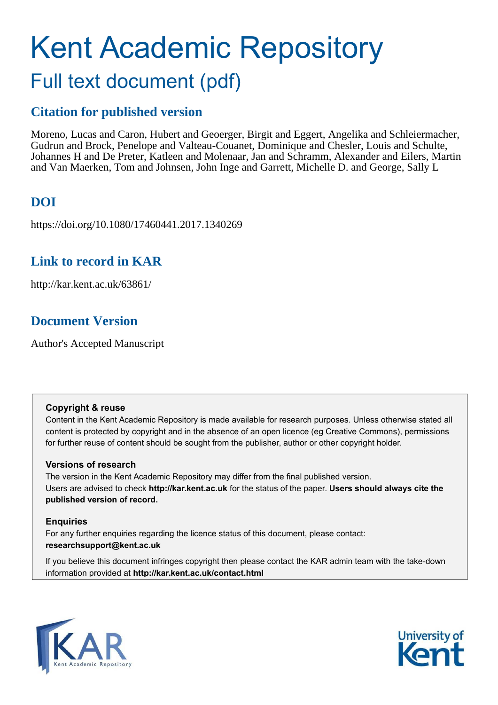# Kent Academic Repository Full text document (pdf)

# **Citation for published version**

Moreno, Lucas and Caron, Hubert and Geoerger, Birgit and Eggert, Angelika and Schleiermacher, Gudrun and Brock, Penelope and Valteau-Couanet, Dominique and Chesler, Louis and Schulte, Johannes H and De Preter, Katleen and Molenaar, Jan and Schramm, Alexander and Eilers, Martin and Van Maerken, Tom and Johnsen, John Inge and Garrett, Michelle D. and George, Sally L

# **DOI**

https://doi.org/10.1080/17460441.2017.1340269

# **Link to record in KAR**

http://kar.kent.ac.uk/63861/

# **Document Version**

Author's Accepted Manuscript

# **Copyright & reuse**

Content in the Kent Academic Repository is made available for research purposes. Unless otherwise stated all content is protected by copyright and in the absence of an open licence (eg Creative Commons), permissions for further reuse of content should be sought from the publisher, author or other copyright holder.

# **Versions of research**

The version in the Kent Academic Repository may differ from the final published version. Users are advised to check **http://kar.kent.ac.uk** for the status of the paper. **Users should always cite the published version of record.**

# **Enquiries**

For any further enquiries regarding the licence status of this document, please contact: **researchsupport@kent.ac.uk**

If you believe this document infringes copyright then please contact the KAR admin team with the take-down information provided at **http://kar.kent.ac.uk/contact.html**



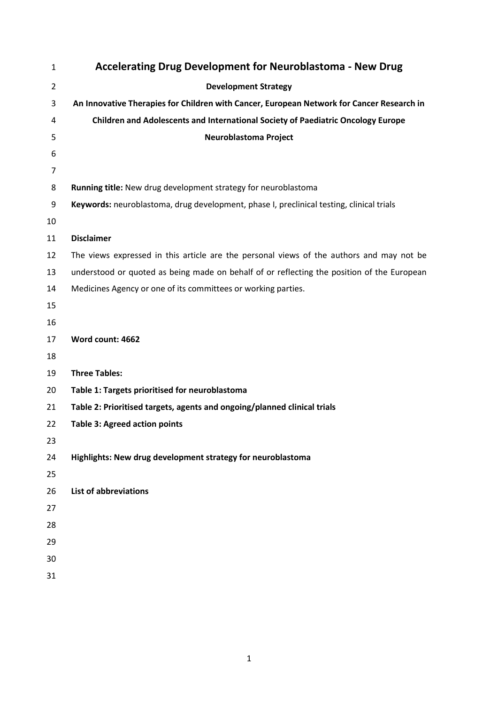| 1              | <b>Accelerating Drug Development for Neuroblastoma - New Drug</b>                          |
|----------------|--------------------------------------------------------------------------------------------|
| $\overline{2}$ | <b>Development Strategy</b>                                                                |
| 3              | An Innovative Therapies for Children with Cancer, European Network for Cancer Research in  |
| 4              | Children and Adolescents and International Society of Paediatric Oncology Europe           |
| 5              | Neuroblastoma Project                                                                      |
| 6              |                                                                                            |
| $\overline{7}$ |                                                                                            |
| 8              | Running title: New drug development strategy for neuroblastoma                             |
| 9              | Keywords: neuroblastoma, drug development, phase I, preclinical testing, clinical trials   |
| 10             |                                                                                            |
| 11             | <b>Disclaimer</b>                                                                          |
| 12             | The views expressed in this article are the personal views of the authors and may not be   |
| 13             | understood or quoted as being made on behalf of or reflecting the position of the European |
| 14             | Medicines Agency or one of its committees or working parties.                              |
| 15             |                                                                                            |
| 16             |                                                                                            |
| 17             | Word count: 4662                                                                           |
| 18             |                                                                                            |
| 19             | <b>Three Tables:</b>                                                                       |
| 20             | Table 1: Targets prioritised for neuroblastoma                                             |
| 21             | Table 2: Prioritised targets, agents and ongoing/planned clinical trials                   |
| 22             | <b>Table 3: Agreed action points</b>                                                       |
| 23             |                                                                                            |
| 24             | Highlights: New drug development strategy for neuroblastoma                                |
| 25             |                                                                                            |
| 26             | <b>List of abbreviations</b>                                                               |
| 27             |                                                                                            |
| 28             |                                                                                            |
| 29             |                                                                                            |
| 30             |                                                                                            |
| 31             |                                                                                            |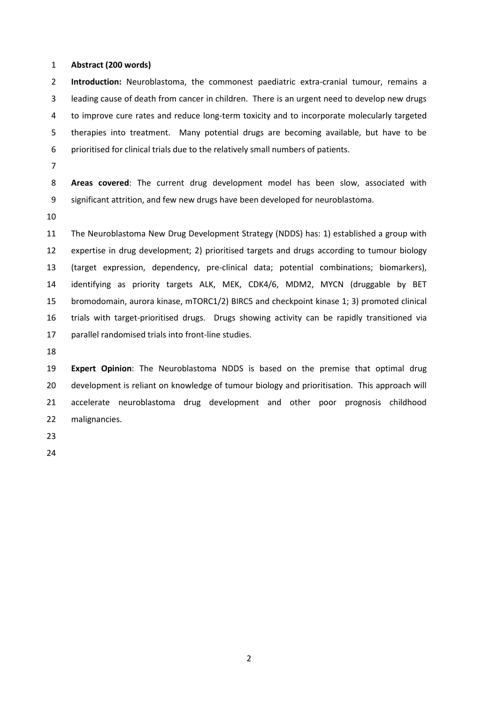#### **Abstract (200 words)**

**Introduction:** Neuroblastoma, the commonest paediatric extra-cranial tumour, remains a 3 leading cause of death from cancer in children. There is an urgent need to develop new drugs 4 to improve cure rates and reduce long-term toxicity and to incorporate molecularly targeted 5 therapies into treatment. Many potential drugs are becoming available, but have to be 6 prioritised for clinical trials due to the relatively small numbers of patients.

**Areas covered**: The current drug development model has been slow, associated with 9 significant attrition, and few new drugs have been developed for neuroblastoma.

 The Neuroblastoma New Drug Development Strategy (NDDS) has: 1) established a group with expertise in drug development; 2) prioritised targets and drugs according to tumour biology (target expression, dependency, pre-clinical data; potential combinations; biomarkers), identifying as priority targets ALK, MEK, CDK4/6, MDM2, MYCN (druggable by BET bromodomain, aurora kinase, mTORC1/2) BIRC5 and checkpoint kinase 1; 3) promoted clinical trials with target-prioritised drugs. Drugs showing activity can be rapidly transitioned via parallel randomised trials into front-line studies.

 **Expert Opinion**: The Neuroblastoma NDDS is based on the premise that optimal drug development is reliant on knowledge of tumour biology and prioritisation. This approach will accelerate neuroblastoma drug development and other poor prognosis childhood malignancies.

- 
-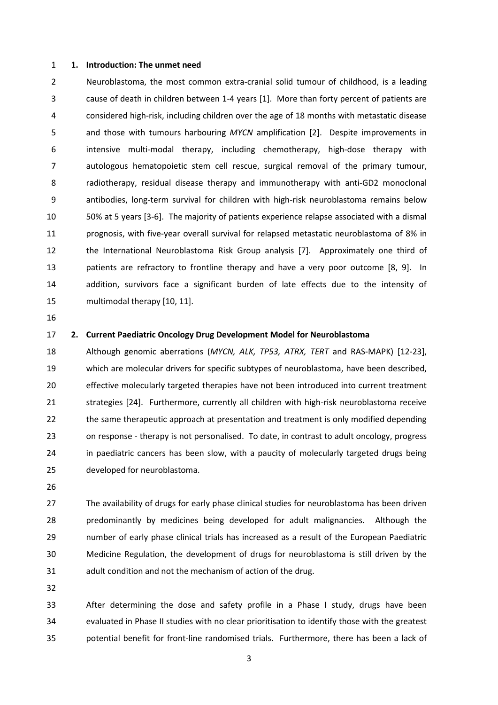#### **1. Introduction: The unmet need**

2 Neuroblastoma, the most common extra-cranial solid tumour of childhood, is a leading 3 cause of death in children between 1-4 years [1]. More than forty percent of patients are 4 considered high-risk, including children over the age of 18 months with metastatic disease 5 and those with tumours harbouring *MYCN* amplification [2]. Despite improvements in 6 intensive multi-modal therapy, including chemotherapy, high-dose therapy with 7 autologous hematopoietic stem cell rescue, surgical removal of the primary tumour, 8 radiotherapy, residual disease therapy and immunotherapy with anti-GD2 monoclonal 9 antibodies, long-term survival for children with high-risk neuroblastoma remains below 50% at 5 years [3-6]. The majority of patients experience relapse associated with a dismal prognosis, with five-year overall survival for relapsed metastatic neuroblastoma of 8% in the International Neuroblastoma Risk Group analysis [7]. Approximately one third of patients are refractory to frontline therapy and have a very poor outcome [8, 9]. In addition, survivors face a significant burden of late effects due to the intensity of multimodal therapy [10, 11].

#### **2. Current Paediatric Oncology Drug Development Model for Neuroblastoma**

 Although genomic aberrations (*MYCN, ALK, TP53, ATRX, TERT* and RAS-MAPK) [12-23], which are molecular drivers for specific subtypes of neuroblastoma, have been described, effective molecularly targeted therapies have not been introduced into current treatment strategies [24]. Furthermore, currently all children with high-risk neuroblastoma receive the same therapeutic approach at presentation and treatment is only modified depending 23 on response - therapy is not personalised. To date, in contrast to adult oncology, progress in paediatric cancers has been slow, with a paucity of molecularly targeted drugs being developed for neuroblastoma.

 The availability of drugs for early phase clinical studies for neuroblastoma has been driven predominantly by medicines being developed for adult malignancies. Although the number of early phase clinical trials has increased as a result of the European Paediatric Medicine Regulation, the development of drugs for neuroblastoma is still driven by the adult condition and not the mechanism of action of the drug.

 After determining the dose and safety profile in a Phase I study, drugs have been evaluated in Phase II studies with no clear prioritisation to identify those with the greatest potential benefit for front-line randomised trials. Furthermore, there has been a lack of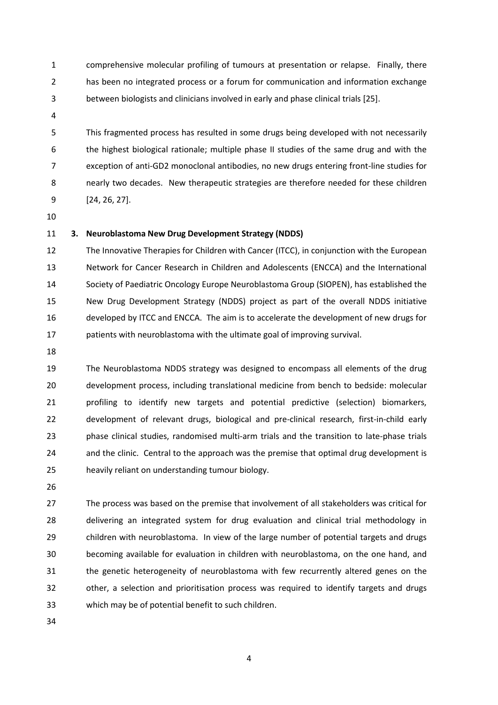- 1 comprehensive molecular profiling of tumours at presentation or relapse. Finally, there 2 has been no integrated process or a forum for communication and information exchange 3 between biologists and clinicians involved in early and phase clinical trials [25].
- 

5 This fragmented process has resulted in some drugs being developed with not necessarily 6 the highest biological rationale; multiple phase II studies of the same drug and with the 7 exception of anti-GD2 monoclonal antibodies, no new drugs entering front-line studies for 8 nearly two decades. New therapeutic strategies are therefore needed for these children 9 [24, 26, 27].

## **3. Neuroblastoma New Drug Development Strategy (NDDS)**

 The Innovative Therapies for Children with Cancer (ITCC), in conjunction with the European Network for Cancer Research in Children and Adolescents (ENCCA) and the International Society of Paediatric Oncology Europe Neuroblastoma Group (SIOPEN), has established the New Drug Development Strategy (NDDS) project as part of the overall NDDS initiative developed by ITCC and ENCCA. The aim is to accelerate the development of new drugs for patients with neuroblastoma with the ultimate goal of improving survival.

 The Neuroblastoma NDDS strategy was designed to encompass all elements of the drug development process, including translational medicine from bench to bedside: molecular profiling to identify new targets and potential predictive (selection) biomarkers, development of relevant drugs, biological and pre-clinical research, first-in-child early phase clinical studies, randomised multi-arm trials and the transition to late-phase trials 24 and the clinic. Central to the approach was the premise that optimal drug development is heavily reliant on understanding tumour biology.

 The process was based on the premise that involvement of all stakeholders was critical for delivering an integrated system for drug evaluation and clinical trial methodology in children with neuroblastoma. In view of the large number of potential targets and drugs becoming available for evaluation in children with neuroblastoma, on the one hand, and the genetic heterogeneity of neuroblastoma with few recurrently altered genes on the other, a selection and prioritisation process was required to identify targets and drugs which may be of potential benefit to such children.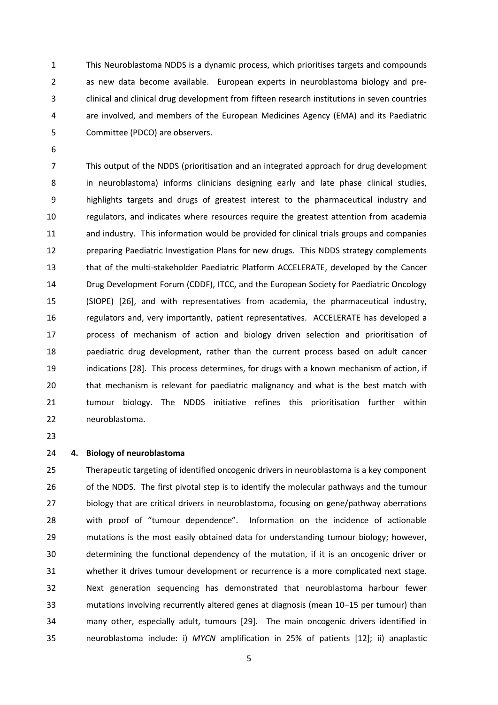1 This Neuroblastoma NDDS is a dynamic process, which prioritises targets and compounds 2 as new data become available. European experts in neuroblastoma biology and pre-3 clinical and clinical drug development from fifteen research institutions in seven countries 4 are involved, and members of the European Medicines Agency (EMA) and its Paediatric 5 Committee (PDCO) are observers.

7 This output of the NDDS (prioritisation and an integrated approach for drug development 8 in neuroblastoma) informs clinicians designing early and late phase clinical studies, 9 highlights targets and drugs of greatest interest to the pharmaceutical industry and regulators, and indicates where resources require the greatest attention from academia and industry. This information would be provided for clinical trials groups and companies preparing Paediatric Investigation Plans for new drugs. This NDDS strategy complements that of the multi-stakeholder Paediatric Platform ACCELERATE, developed by the Cancer Drug Development Forum (CDDF), ITCC, and the European Society for Paediatric Oncology (SIOPE) [26], and with representatives from academia, the pharmaceutical industry, regulators and, very importantly, patient representatives. ACCELERATE has developed a process of mechanism of action and biology driven selection and prioritisation of paediatric drug development, rather than the current process based on adult cancer indications [28]. This process determines, for drugs with a known mechanism of action, if that mechanism is relevant for paediatric malignancy and what is the best match with tumour biology. The NDDS initiative refines this prioritisation further within neuroblastoma.

## **4. Biology of neuroblastoma**

 Therapeutic targeting of identified oncogenic drivers in neuroblastoma is a key component 26 of the NDDS. The first pivotal step is to identify the molecular pathways and the tumour biology that are critical drivers in neuroblastoma, focusing on gene/pathway aberrations 28 with proof of "tumour dependence". Information on the incidence of actionable mutations is the most easily obtained data for understanding tumour biology; however, determining the functional dependency of the mutation, if it is an oncogenic driver or whether it drives tumour development or recurrence is a more complicated next stage. Next generation sequencing has demonstrated that neuroblastoma harbour fewer 33 mutations involving recurrently altered genes at diagnosis (mean 10–15 per tumour) than many other, especially adult, tumours [29]. The main oncogenic drivers identified in neuroblastoma include: i) *MYCN* amplification in 25% of patients [12]; ii) anaplastic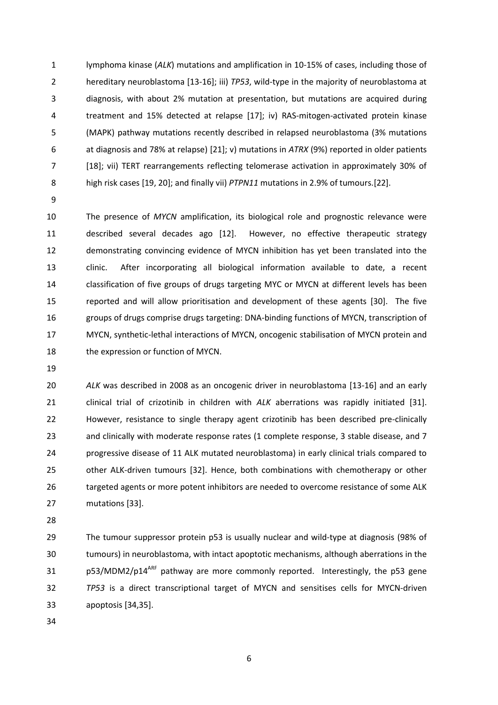1 lymphoma kinase (*ALK*) mutations and amplification in 10-15% of cases, including those of 2 hereditary neuroblastoma [13-16]; iii) *TP53*, wild-type in the majority of neuroblastoma at 3 diagnosis, with about 2% mutation at presentation, but mutations are acquired during 4 treatment and 15% detected at relapse [17]; iv) RAS-mitogen-activated protein kinase 5 (MAPK) pathway mutations recently described in relapsed neuroblastoma (3% mutations 6 at diagnosis and 78% at relapse) [21]; v) mutations in *ATRX* (9%) reported in older patients 7 [18]; vii) TERT rearrangements reflecting telomerase activation in approximately 30% of 8 high risk cases [19, 20]; and finally vii) *PTPN11* mutations in 2.9% of tumours.[22].

 The presence of *MYCN* amplification, its biological role and prognostic relevance were described several decades ago [12]. However, no effective therapeutic strategy demonstrating convincing evidence of MYCN inhibition has yet been translated into the clinic. After incorporating all biological information available to date, a recent classification of five groups of drugs targeting MYC or MYCN at different levels has been reported and will allow prioritisation and development of these agents [30]. The five groups of drugs comprise drugs targeting: DNA-binding functions of MYCN, transcription of MYCN, synthetic-lethal interactions of MYCN, oncogenic stabilisation of MYCN protein and 18 the expression or function of MYCN.

 *ALK* was described in 2008 as an oncogenic driver in neuroblastoma [13-16] and an early clinical trial of crizotinib in children with *ALK* aberrations was rapidly initiated [31]. However, resistance to single therapy agent crizotinib has been described pre-clinically 23 and clinically with moderate response rates (1 complete response, 3 stable disease, and 7 progressive disease of 11 ALK mutated neuroblastoma) in early clinical trials compared to other ALK-driven tumours [32]. Hence, both combinations with chemotherapy or other targeted agents or more potent inhibitors are needed to overcome resistance of some ALK mutations [33].

 The tumour suppressor protein p53 is usually nuclear and wild-type at diagnosis (98% of tumours) in neuroblastoma, with intact apoptotic mechanisms, although aberrations in the 31 p53/MDM2/p14<sup>ARF</sup> pathway are more commonly reported. Interestingly, the p53 gene *TP53* is a direct transcriptional target of MYCN and sensitises cells for MYCN-driven apoptosis [34,35].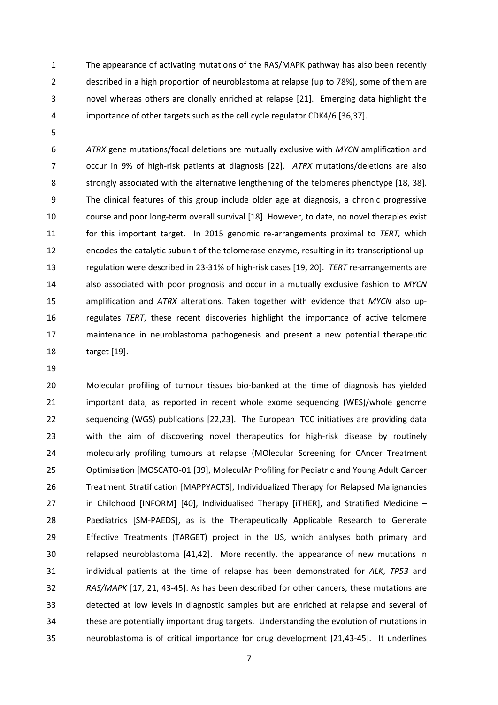1 The appearance of activating mutations of the RAS/MAPK pathway has also been recently 2 described in a high proportion of neuroblastoma at relapse (up to 78%), some of them are 3 novel whereas others are clonally enriched at relapse [21]. Emerging data highlight the 4 importance of other targets such as the cell cycle regulator CDK4/6 [36,37].

*ATRX* gene mutations/focal deletions are mutually exclusive with *MYCN* amplification and 7 occur in 9% of high-risk patients at diagnosis [22]. *ATRX* mutations/deletions are also 8 strongly associated with the alternative lengthening of the telomeres phenotype [18, 38]. 9 The clinical features of this group include older age at diagnosis, a chronic progressive course and poor long-term overall survival [18]. However, to date, no novel therapies exist for this important target. In 2015 genomic re-arrangements proximal to *TERT,* which encodes the catalytic subunit of the telomerase enzyme, resulting in its transcriptional up- regulation were described in 23-31% of high-risk cases [19, 20]. *TERT* re-arrangements are also associated with poor prognosis and occur in a mutually exclusive fashion to *MYCN* amplification and *ATRX* alterations. Taken together with evidence that *MYCN* also up- regulates *TERT*, these recent discoveries highlight the importance of active telomere maintenance in neuroblastoma pathogenesis and present a new potential therapeutic target [19].

 Molecular profiling of tumour tissues bio-banked at the time of diagnosis has yielded important data, as reported in recent whole exome sequencing (WES)/whole genome sequencing (WGS) publications [22,23]. The European ITCC initiatives are providing data with the aim of discovering novel therapeutics for high-risk disease by routinely molecularly profiling tumours at relapse (MOlecular Screening for CAncer Treatment Optimisation [MOSCATO-01 [39], MoleculAr Profiling for Pediatric and Young Adult Cancer Treatment Stratification [MAPPYACTS], Individualized Therapy for Relapsed Malignancies 27 in Childhood [INFORM] [40], Individualised Therapy [iTHER], and Stratified Medicine – Paediatrics [SM-PAEDS], as is the Therapeutically Applicable Research to Generate Effective Treatments (TARGET) project in the US, which analyses both primary and relapsed neuroblastoma [41,42]. More recently, the appearance of new mutations in individual patients at the time of relapse has been demonstrated for *ALK*, *TP53* and *RAS/MAPK* [17, 21, 43-45]. As has been described for other cancers, these mutations are detected at low levels in diagnostic samples but are enriched at relapse and several of these are potentially important drug targets. Understanding the evolution of mutations in neuroblastoma is of critical importance for drug development [21,43-45]. It underlines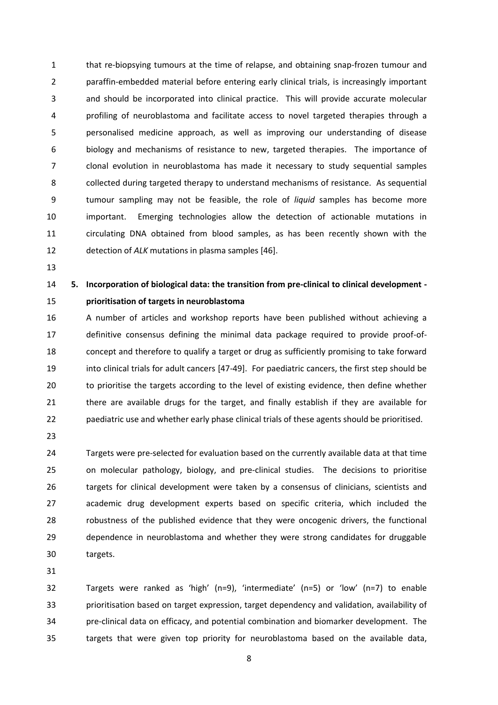1 that re-biopsying tumours at the time of relapse, and obtaining snap-frozen tumour and 2 paraffin-embedded material before entering early clinical trials, is increasingly important 3 and should be incorporated into clinical practice. This will provide accurate molecular 4 profiling of neuroblastoma and facilitate access to novel targeted therapies through a 5 personalised medicine approach, as well as improving our understanding of disease 6 biology and mechanisms of resistance to new, targeted therapies. The importance of 7 clonal evolution in neuroblastoma has made it necessary to study sequential samples 8 collected during targeted therapy to understand mechanisms of resistance. As sequential 9 tumour sampling may not be feasible, the role of *liquid* samples has become more important. Emerging technologies allow the detection of actionable mutations in circulating DNA obtained from blood samples, as has been recently shown with the detection of *ALK* mutations in plasma samples [46].

# **5. Incorporation of biological data: the transition from pre-clinical to clinical development - prioritisation of targets in neuroblastoma**

 A number of articles and workshop reports have been published without achieving a definitive consensus defining the minimal data package required to provide proof-of- concept and therefore to qualify a target or drug as sufficiently promising to take forward into clinical trials for adult cancers [47-49]. For paediatric cancers, the first step should be to prioritise the targets according to the level of existing evidence, then define whether there are available drugs for the target, and finally establish if they are available for paediatric use and whether early phase clinical trials of these agents should be prioritised.

 Targets were pre-selected for evaluation based on the currently available data at that time on molecular pathology, biology, and pre-clinical studies. The decisions to prioritise targets for clinical development were taken by a consensus of clinicians, scientists and academic drug development experts based on specific criteria, which included the robustness of the published evidence that they were oncogenic drivers, the functional dependence in neuroblastoma and whether they were strong candidates for druggable targets.

32 Targets were ranked as 'high' (n=9), 'intermediate' (n=5) or 'low' (n=7) to enable prioritisation based on target expression, target dependency and validation, availability of pre-clinical data on efficacy, and potential combination and biomarker development. The targets that were given top priority for neuroblastoma based on the available data,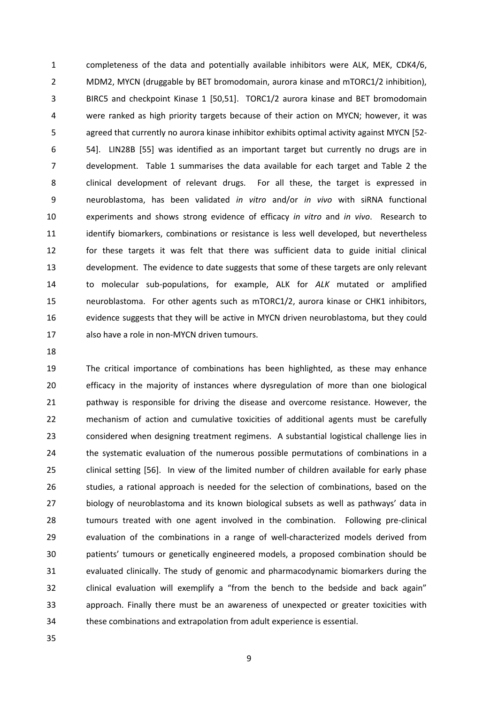1 completeness of the data and potentially available inhibitors were ALK, MEK, CDK4/6, 2 MDM2, MYCN (druggable by BET bromodomain, aurora kinase and mTORC1/2 inhibition), 3 BIRC5 and checkpoint Kinase 1 [50,51]. TORC1/2 aurora kinase and BET bromodomain 4 were ranked as high priority targets because of their action on MYCN; however, it was 5 agreed that currently no aurora kinase inhibitor exhibits optimal activity against MYCN [52- 6 54]. LIN28B [55] was identified as an important target but currently no drugs are in 7 development. Table 1 summarises the data available for each target and Table 2 the 8 clinical development of relevant drugs. For all these, the target is expressed in 9 neuroblastoma, has been validated *in vitro* and/or *in vivo* with siRNA functional experiments and shows strong evidence of efficacy *in vitro* and *in vivo*. Research to 11 identify biomarkers, combinations or resistance is less well developed, but nevertheless 12 for these targets it was felt that there was sufficient data to guide initial clinical development. The evidence to date suggests that some of these targets are only relevant to molecular sub-populations, for example, ALK for *ALK* mutated or amplified neuroblastoma. For other agents such as mTORC1/2, aurora kinase or CHK1 inhibitors, evidence suggests that they will be active in MYCN driven neuroblastoma, but they could also have a role in non-MYCN driven tumours.

 The critical importance of combinations has been highlighted, as these may enhance efficacy in the majority of instances where dysregulation of more than one biological pathway is responsible for driving the disease and overcome resistance. However, the mechanism of action and cumulative toxicities of additional agents must be carefully considered when designing treatment regimens. A substantial logistical challenge lies in the systematic evaluation of the numerous possible permutations of combinations in a clinical setting [56]. In view of the limited number of children available for early phase studies, a rational approach is needed for the selection of combinations, based on the 27 biology of neuroblastoma and its known biological subsets as well as pathways' data in tumours treated with one agent involved in the combination. Following pre-clinical evaluation of the combinations in a range of well-characterized models derived from 30 patients' tumours or genetically engineered models, a proposed combination should be evaluated clinically. The study of genomic and pharmacodynamic biomarkers during the 32 Iolinical evaluation will exemplify a "from the bench to the bedside and back again" approach. Finally there must be an awareness of unexpected or greater toxicities with these combinations and extrapolation from adult experience is essential.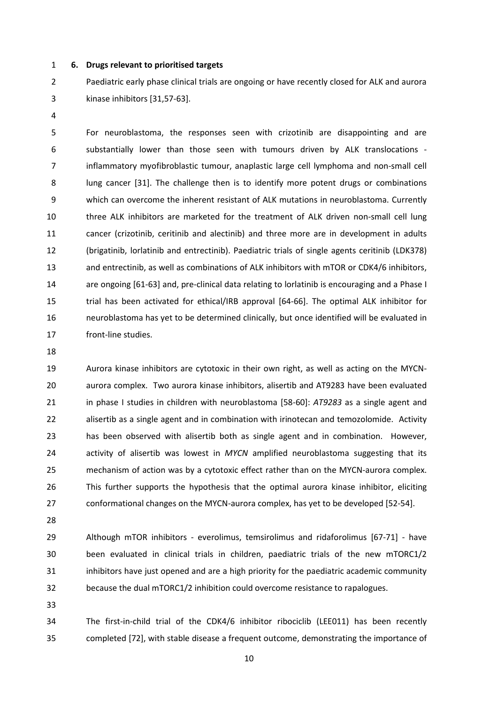**6. Drugs relevant to prioritised targets** 

2 Paediatric early phase clinical trials are ongoing or have recently closed for ALK and aurora 3 kinase inhibitors [31,57-63].

5 For neuroblastoma, the responses seen with crizotinib are disappointing and are 6 substantially lower than those seen with tumours driven by ALK translocations - 7 inflammatory myofibroblastic tumour, anaplastic large cell lymphoma and non-small cell 8 lung cancer [31]. The challenge then is to identify more potent drugs or combinations 9 which can overcome the inherent resistant of ALK mutations in neuroblastoma. Currently three ALK inhibitors are marketed for the treatment of ALK driven non-small cell lung cancer (crizotinib, ceritinib and alectinib) and three more are in development in adults (brigatinib, lorlatinib and entrectinib). Paediatric trials of single agents ceritinib (LDK378) and entrectinib, as well as combinations of ALK inhibitors with mTOR or CDK4/6 inhibitors, are ongoing [61-63] and, pre-clinical data relating to lorlatinib is encouraging and a Phase I trial has been activated for ethical/IRB approval [64-66]. The optimal ALK inhibitor for neuroblastoma has yet to be determined clinically, but once identified will be evaluated in front-line studies.

 Aurora kinase inhibitors are cytotoxic in their own right, as well as acting on the MYCN- aurora complex. Two aurora kinase inhibitors, alisertib and AT9283 have been evaluated in phase I studies in children with neuroblastoma [58-60]: *AT9283* as a single agent and alisertib as a single agent and in combination with irinotecan and temozolomide. Activity has been observed with alisertib both as single agent and in combination. However, activity of alisertib was lowest in *MYCN* amplified neuroblastoma suggesting that its mechanism of action was by a cytotoxic effect rather than on the MYCN-aurora complex. This further supports the hypothesis that the optimal aurora kinase inhibitor, eliciting conformational changes on the MYCN-aurora complex, has yet to be developed [52-54].

 Although mTOR inhibitors - everolimus, temsirolimus and ridaforolimus [67-71] - have been evaluated in clinical trials in children, paediatric trials of the new mTORC1/2 inhibitors have just opened and are a high priority for the paediatric academic community because the dual mTORC1/2 inhibition could overcome resistance to rapalogues.

 The first-in-child trial of the CDK4/6 inhibitor ribociclib (LEE011) has been recently completed [72], with stable disease a frequent outcome, demonstrating the importance of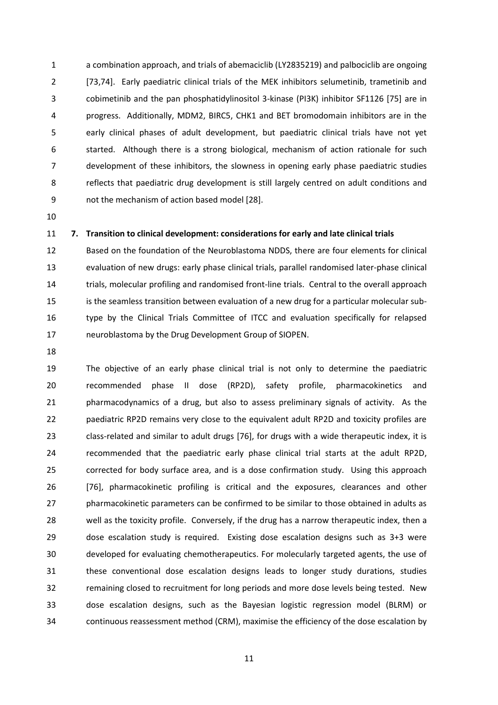1 a combination approach, and trials of abemaciclib (LY2835219) and palbociclib are ongoing 2 [73,74]. Early paediatric clinical trials of the MEK inhibitors selumetinib, trametinib and 3 cobimetinib and the pan phosphatidylinositol 3-kinase (PI3K) inhibitor SF1126 [75] are in 4 progress. Additionally, MDM2, BIRC5, CHK1 and BET bromodomain inhibitors are in the 5 early clinical phases of adult development, but paediatric clinical trials have not yet 6 started. Although there is a strong biological, mechanism of action rationale for such 7 development of these inhibitors, the slowness in opening early phase paediatric studies 8 reflects that paediatric drug development is still largely centred on adult conditions and 9 not the mechanism of action based model [28].

#### **7. Transition to clinical development: considerations for early and late clinical trials**

 Based on the foundation of the Neuroblastoma NDDS, there are four elements for clinical evaluation of new drugs: early phase clinical trials, parallel randomised later-phase clinical trials, molecular profiling and randomised front-line trials. Central to the overall approach is the seamless transition between evaluation of a new drug for a particular molecular sub- type by the Clinical Trials Committee of ITCC and evaluation specifically for relapsed neuroblastoma by the Drug Development Group of SIOPEN.

 The objective of an early phase clinical trial is not only to determine the paediatric recommended phase II dose (RP2D), safety profile, pharmacokinetics and pharmacodynamics of a drug, but also to assess preliminary signals of activity. As the paediatric RP2D remains very close to the equivalent adult RP2D and toxicity profiles are class-related and similar to adult drugs [76], for drugs with a wide therapeutic index, it is recommended that the paediatric early phase clinical trial starts at the adult RP2D, corrected for body surface area, and is a dose confirmation study. Using this approach [76], pharmacokinetic profiling is critical and the exposures, clearances and other pharmacokinetic parameters can be confirmed to be similar to those obtained in adults as well as the toxicity profile. Conversely, if the drug has a narrow therapeutic index, then a dose escalation study is required. Existing dose escalation designs such as 3+3 were developed for evaluating chemotherapeutics. For molecularly targeted agents, the use of these conventional dose escalation designs leads to longer study durations, studies remaining closed to recruitment for long periods and more dose levels being tested. New dose escalation designs, such as the Bayesian logistic regression model (BLRM) or continuous reassessment method (CRM), maximise the efficiency of the dose escalation by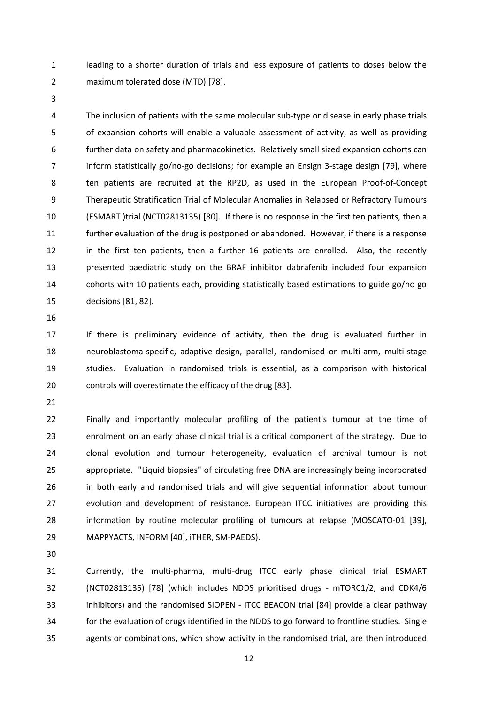1 leading to a shorter duration of trials and less exposure of patients to doses below the 2 maximum tolerated dose (MTD) [78].

4 The inclusion of patients with the same molecular sub-type or disease in early phase trials 5 of expansion cohorts will enable a valuable assessment of activity, as well as providing 6 further data on safety and pharmacokinetics. Relatively small sized expansion cohorts can 7 inform statistically go/no-go decisions; for example an Ensign 3-stage design [79], where 8 ten patients are recruited at the RP2D, as used in the European Proof-of-Concept 9 Therapeutic Stratification Trial of Molecular Anomalies in Relapsed or Refractory Tumours (ESMART )trial (NCT02813135) [80]. If there is no response in the first ten patients, then a further evaluation of the drug is postponed or abandoned. However, if there is a response in the first ten patients, then a further 16 patients are enrolled. Also, the recently presented paediatric study on the BRAF inhibitor dabrafenib included four expansion cohorts with 10 patients each, providing statistically based estimations to guide go/no go decisions [81, 82].

 If there is preliminary evidence of activity, then the drug is evaluated further in neuroblastoma-specific, adaptive-design, parallel, randomised or multi-arm, multi-stage studies. Evaluation in randomised trials is essential, as a comparison with historical controls will overestimate the efficacy of the drug [83].

 Finally and importantly molecular profiling of the patient's tumour at the time of enrolment on an early phase clinical trial is a critical component of the strategy. Due to clonal evolution and tumour heterogeneity, evaluation of archival tumour is not appropriate. "Liquid biopsies" of circulating free DNA are increasingly being incorporated in both early and randomised trials and will give sequential information about tumour evolution and development of resistance. European ITCC initiatives are providing this information by routine molecular profiling of tumours at relapse (MOSCATO-01 [39], MAPPYACTS, INFORM [40], iTHER, SM-PAEDS).

 Currently, the multi-pharma, multi-drug ITCC early phase clinical trial ESMART (NCT02813135) [78] (which includes NDDS prioritised drugs - mTORC1/2, and CDK4/6 inhibitors) and the randomised SIOPEN - ITCC BEACON trial [84] provide a clear pathway for the evaluation of drugs identified in the NDDS to go forward to frontline studies. Single agents or combinations, which show activity in the randomised trial, are then introduced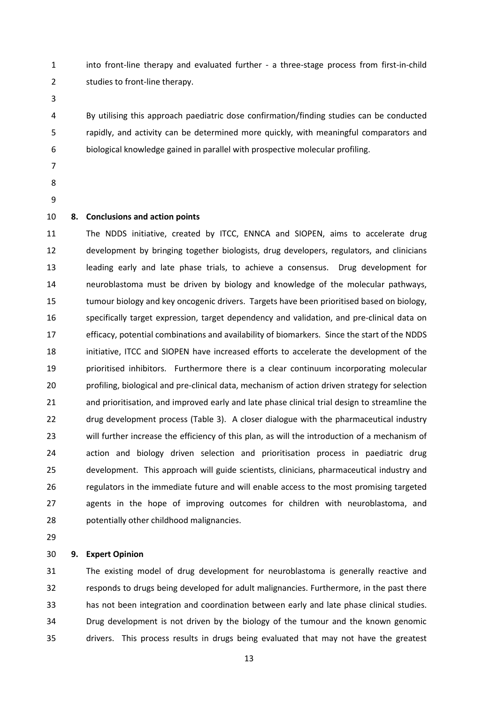1 into front-line therapy and evaluated further - a three-stage process from first-in-child 2 studies to front-line therapy.

4 By utilising this approach paediatric dose confirmation/finding studies can be conducted 5 rapidly, and activity can be determined more quickly, with meaningful comparators and 6 biological knowledge gained in parallel with prospective molecular profiling.

- 
- 
- 

## **8. Conclusions and action points**

 The NDDS initiative, created by ITCC, ENNCA and SIOPEN, aims to accelerate drug development by bringing together biologists, drug developers, regulators, and clinicians leading early and late phase trials, to achieve a consensus. Drug development for neuroblastoma must be driven by biology and knowledge of the molecular pathways, tumour biology and key oncogenic drivers. Targets have been prioritised based on biology, specifically target expression, target dependency and validation, and pre-clinical data on efficacy, potential combinations and availability of biomarkers. Since the start of the NDDS initiative, ITCC and SIOPEN have increased efforts to accelerate the development of the prioritised inhibitors. Furthermore there is a clear continuum incorporating molecular profiling, biological and pre-clinical data, mechanism of action driven strategy for selection and prioritisation, and improved early and late phase clinical trial design to streamline the drug development process (Table 3). A closer dialogue with the pharmaceutical industry will further increase the efficiency of this plan, as will the introduction of a mechanism of action and biology driven selection and prioritisation process in paediatric drug development. This approach will guide scientists, clinicians, pharmaceutical industry and regulators in the immediate future and will enable access to the most promising targeted agents in the hope of improving outcomes for children with neuroblastoma, and potentially other childhood malignancies.

#### **9. Expert Opinion**

 The existing model of drug development for neuroblastoma is generally reactive and responds to drugs being developed for adult malignancies. Furthermore, in the past there has not been integration and coordination between early and late phase clinical studies. Drug development is not driven by the biology of the tumour and the known genomic drivers. This process results in drugs being evaluated that may not have the greatest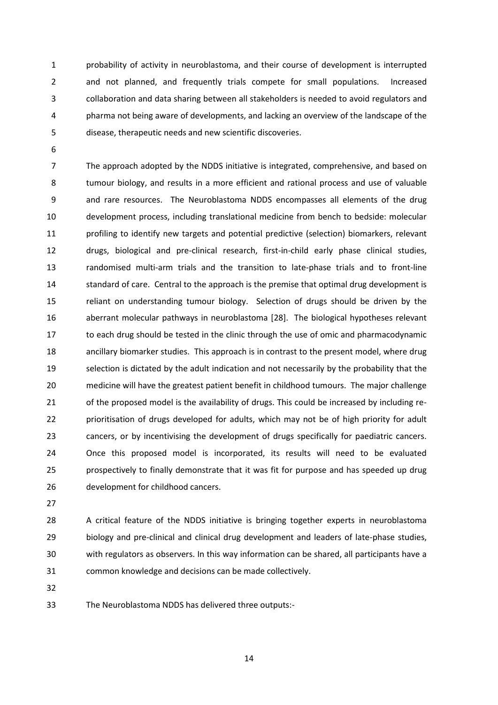1 probability of activity in neuroblastoma, and their course of development is interrupted 2 and not planned, and frequently trials compete for small populations. Increased 3 collaboration and data sharing between all stakeholders is needed to avoid regulators and 4 pharma not being aware of developments, and lacking an overview of the landscape of the 5 disease, therapeutic needs and new scientific discoveries.

7 The approach adopted by the NDDS initiative is integrated, comprehensive, and based on 8 tumour biology, and results in a more efficient and rational process and use of valuable 9 and rare resources. The Neuroblastoma NDDS encompasses all elements of the drug development process, including translational medicine from bench to bedside: molecular profiling to identify new targets and potential predictive (selection) biomarkers, relevant drugs, biological and pre-clinical research, first-in-child early phase clinical studies, randomised multi-arm trials and the transition to late-phase trials and to front-line 14 standard of care. Central to the approach is the premise that optimal drug development is reliant on understanding tumour biology. Selection of drugs should be driven by the aberrant molecular pathways in neuroblastoma [28]. The biological hypotheses relevant to each drug should be tested in the clinic through the use of omic and pharmacodynamic ancillary biomarker studies. This approach is in contrast to the present model, where drug selection is dictated by the adult indication and not necessarily by the probability that the medicine will have the greatest patient benefit in childhood tumours. The major challenge of the proposed model is the availability of drugs. This could be increased by including re- prioritisation of drugs developed for adults, which may not be of high priority for adult cancers, or by incentivising the development of drugs specifically for paediatric cancers. Once this proposed model is incorporated, its results will need to be evaluated prospectively to finally demonstrate that it was fit for purpose and has speeded up drug development for childhood cancers.

 A critical feature of the NDDS initiative is bringing together experts in neuroblastoma biology and pre-clinical and clinical drug development and leaders of late-phase studies, with regulators as observers. In this way information can be shared, all participants have a common knowledge and decisions can be made collectively.

The Neuroblastoma NDDS has delivered three outputs:-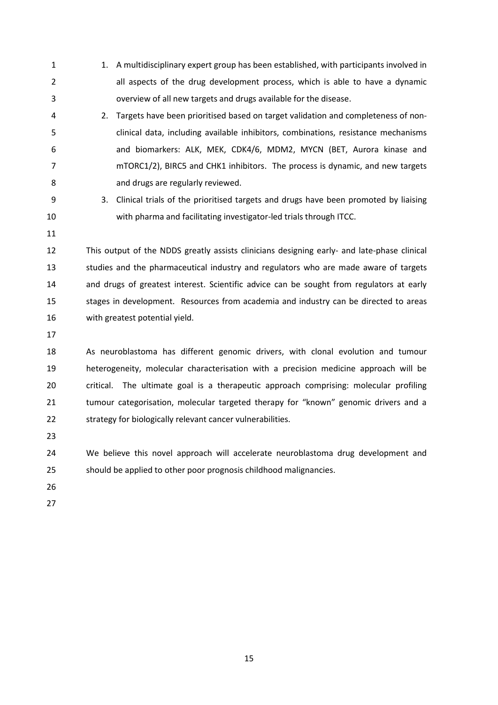- 1 1. A multidisciplinary expert group has been established, with participants involved in 2 all aspects of the drug development process, which is able to have a dynamic 3 overview of all new targets and drugs available for the disease.
- 4 2. Targets have been prioritised based on target validation and completeness of non-5 clinical data, including available inhibitors, combinations, resistance mechanisms 6 and biomarkers: ALK, MEK, CDK4/6, MDM2, MYCN (BET, Aurora kinase and 7 mTORC1/2), BIRC5 and CHK1 inhibitors. The process is dynamic, and new targets 8 and drugs are regularly reviewed.
- 9 3. Clinical trials of the prioritised targets and drugs have been promoted by liaising with pharma and facilitating investigator-led trials through ITCC.
- 

 This output of the NDDS greatly assists clinicians designing early- and late-phase clinical studies and the pharmaceutical industry and regulators who are made aware of targets and drugs of greatest interest. Scientific advice can be sought from regulators at early stages in development. Resources from academia and industry can be directed to areas with greatest potential yield.

 As neuroblastoma has different genomic drivers, with clonal evolution and tumour heterogeneity, molecular characterisation with a precision medicine approach will be critical. The ultimate goal is a therapeutic approach comprising: molecular profiling 21 tumour categorisation, molecular targeted therapy for "known" genomic drivers and a strategy for biologically relevant cancer vulnerabilities.

 We believe this novel approach will accelerate neuroblastoma drug development and should be applied to other poor prognosis childhood malignancies.

- 
-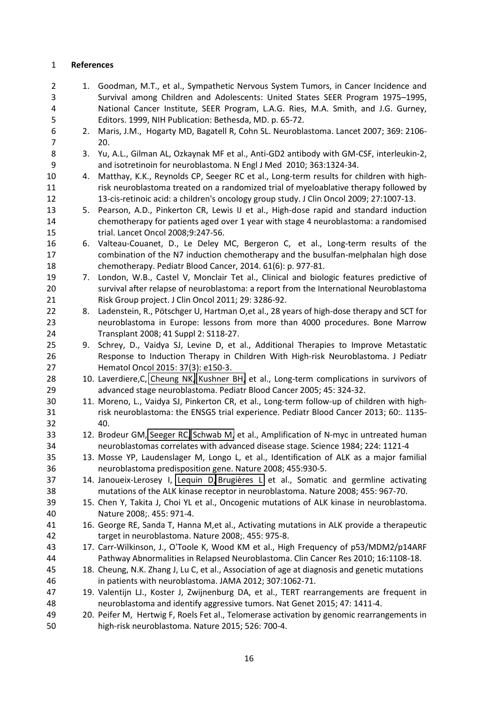#### **References**

2 1. Goodman, M.T., et al., Sympathetic Nervous System Tumors, in Cancer Incidence and 3 Survival among Children and Adolescents: United States SEER Program 1975–1995, 4 National Cancer Institute, SEER Program, L.A.G. Ries, M.A. Smith, and J.G. Gurney, 5 Editors. 1999, NIH Publication: Bethesda, MD. p. 65-72. 6 2. Maris, J.M., Hogarty MD, Bagatell R, Cohn SL. Neuroblastoma. Lancet 2007; 369: 2106- 7 20. 8 3. Yu, A.L., Gilman AL, Ozkaynak MF et al., Anti-GD2 antibody with GM-CSF, interleukin-2, 9 and isotretinoin for neuroblastoma. N Engl J Med 2010; 363:1324-34. 4. Matthay, K.K., Reynolds CP, Seeger RC et al., Long-term results for children with high- risk neuroblastoma treated on a randomized trial of myeloablative therapy followed by 13-cis-retinoic acid: a children's oncology group study. J Clin Oncol 2009; 27:1007-13. 5. Pearson, A.D., Pinkerton CR, Lewis IJ et al., High-dose rapid and standard induction chemotherapy for patients aged over 1 year with stage 4 neuroblastoma: a randomised trial. Lancet Oncol 2008;9:247-56. 6. Valteau-Couanet, D., Le Deley MC, Bergeron C, et al., Long-term results of the combination of the N7 induction chemotherapy and the busulfan-melphalan high dose chemotherapy. Pediatr Blood Cancer, 2014. 61(6): p. 977-81. 7. London, W.B., Castel V, Monclair Tet al., Clinical and biologic features predictive of survival after relapse of neuroblastoma: a report from the International Neuroblastoma Risk Group project. J Clin Oncol 2011; 29: 3286-92. 22 8. Ladenstein, R., Pötschger U, Hartman O, et al., 28 years of high-dose therapy and SCT for neuroblastoma in Europe: lessons from more than 4000 procedures. Bone Marrow Transplant 2008; 41 Suppl 2: S118-27. 9. Schrey, D., Vaidya SJ, Levine D, et al., Additional Therapies to Improve Metastatic Response to Induction Therapy in Children With High-risk Neuroblastoma. J Pediatr Hematol Oncol 2015: 37(3): e150-3. 28 10. Laverdiere, C, [Cheung NK,](https://www.ncbi.nlm.nih.gov/pubmed/?term=Cheung%20NK%5BAuthor%5D&cauthor=true&cauthor_uid=15714447) [Kushner BH,](https://www.ncbi.nlm.nih.gov/pubmed/?term=Kushner%20BH%5BAuthor%5D&cauthor=true&cauthor_uid=15714447) et al., Long-term complications in survivors of advanced stage neuroblastoma. Pediatr Blood Cancer 2005; 45: 324-32. 11. Moreno, L., Vaidya SJ, Pinkerton CR, et al., Long-term follow-up of children with high-31 risk neuroblastoma: the ENSG5 trial experience. Pediatr Blood Cancer 2013; 60:. 1135- 40. 12. Brodeur GM, [Seeger RC,](https://www.ncbi.nlm.nih.gov/pubmed/?term=Seeger%20RC%5BAuthor%5D&cauthor=true&cauthor_uid=6719137) [Schwab M,](https://www.ncbi.nlm.nih.gov/pubmed/?term=Schwab%20M%5BAuthor%5D&cauthor=true&cauthor_uid=6719137) et al., Amplification of N-myc in untreated human neuroblastomas correlates with advanced disease stage. Science 1984; 224: 1121-4 13. Mosse YP, Laudenslager M, Longo L, et al., Identification of ALK as a major familial neuroblastoma predisposition gene. Nature 2008; 455:930-5. 37 14. Janoueix-Lerosey I, [Lequin D,](https://www.ncbi.nlm.nih.gov/pubmed/?term=Lequin%20D%5BAuthor%5D&cauthor=true&cauthor_uid=18923523) Brugières L et al., Somatic and germline activating mutations of the ALK kinase receptor in neuroblastoma. Nature 2008; 455: 967-70. 15. Chen Y, Takita J, Choi YL et al., Oncogenic mutations of ALK kinase in neuroblastoma. Nature 2008;. 455: 971-4. 16. George RE, Sanda T, Hanna M,et al., Activating mutations in ALK provide a therapeutic target in neuroblastoma. Nature 2008;. 455: 975-8. 17. Carr-Wilkinson, J., O'Toole K, Wood KM et al., High Frequency of p53/MDM2/p14ARF Pathway Abnormalities in Relapsed Neuroblastoma. Clin Cancer Res 2010; 16:1108-18. 18. Cheung, N.K. Zhang J, Lu C, et al., Association of age at diagnosis and genetic mutations in patients with neuroblastoma. JAMA 2012; 307:1062-71. 19. Valentijn LJ., Koster J, Zwijnenburg DA, et al., TERT rearrangements are frequent in neuroblastoma and identify aggressive tumors. Nat Genet 2015; 47: 1411-4. 20. Peifer M, Hertwig F, Roels Fet al., Telomerase activation by genomic rearrangements in high-risk neuroblastoma. Nature 2015; 526: 700-4.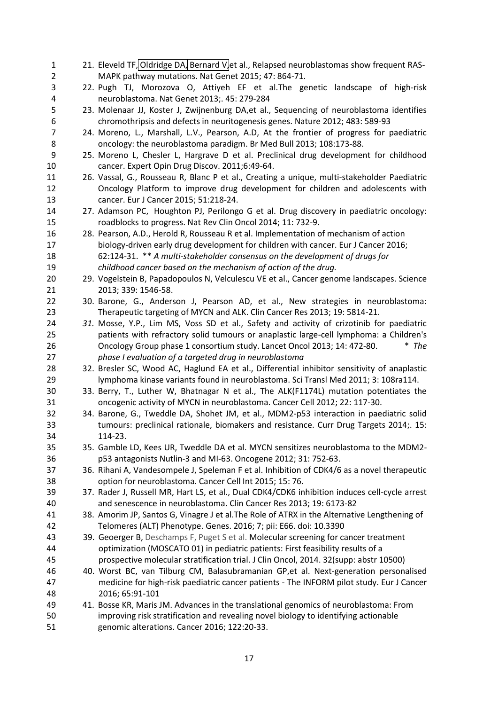| $\mathbf{1}$ | 21. Eleveld TF, Oldridge DA, Bernard V, et al., Relapsed neuroblastomas show frequent RAS-    |
|--------------|-----------------------------------------------------------------------------------------------|
| 2            | MAPK pathway mutations. Nat Genet 2015; 47: 864-71.                                           |
| 3            | 22. Pugh TJ, Morozova O, Attiyeh EF et al.The genetic landscape of high-risk                  |
| 4            | neuroblastoma. Nat Genet 2013;. 45: 279-284                                                   |
| 5            | 23. Molenaar JJ, Koster J, Zwijnenburg DA,et al., Sequencing of neuroblastoma identifies      |
| 6            | chromothripsis and defects in neuritogenesis genes. Nature 2012; 483: 589-93                  |
| 7            | 24. Moreno, L., Marshall, L.V., Pearson, A.D, At the frontier of progress for paediatric      |
| 8            | oncology: the neuroblastoma paradigm. Br Med Bull 2013; 108:173-88.                           |
| 9            | 25. Moreno L, Chesler L, Hargrave D et al. Preclinical drug development for childhood         |
| 10           | cancer. Expert Opin Drug Discov. 2011;6:49-64.                                                |
| 11           | 26. Vassal, G., Rousseau R, Blanc P et al., Creating a unique, multi-stakeholder Paediatric   |
| 12           | Oncology Platform to improve drug development for children and adolescents with               |
| 13           | cancer. Eur J Cancer 2015; 51:218-24.                                                         |
| 14           | 27. Adamson PC, Houghton PJ, Perilongo G et al. Drug discovery in paediatric oncology:        |
| 15           | roadblocks to progress. Nat Rev Clin Oncol 2014; 11: 732-9.                                   |
| 16           | 28. Pearson, A.D., Herold R, Rousseau R et al. Implementation of mechanism of action          |
| 17           | biology-driven early drug development for children with cancer. Eur J Cancer 2016;            |
| 18           | 62:124-31. ** A multi-stakeholder consensus on the development of drugs for                   |
| 19           | childhood cancer based on the mechanism of action of the drug.                                |
| 20           | 29. Vogelstein B, Papadopoulos N, Velculescu VE et al., Cancer genome landscapes. Science     |
| 21           | 2013; 339: 1546-58.                                                                           |
| 22           | 30. Barone, G., Anderson J, Pearson AD, et al., New strategies in neuroblastoma:              |
| 23           | Therapeutic targeting of MYCN and ALK. Clin Cancer Res 2013; 19: 5814-21.                     |
| 24           | 31. Mosse, Y.P., Lim MS, Voss SD et al., Safety and activity of crizotinib for paediatric     |
| 25           | patients with refractory solid tumours or anaplastic large-cell lymphoma: a Children's        |
| 26           | Oncology Group phase 1 consortium study. Lancet Oncol 2013; 14: 472-80.<br>$*$ The            |
| 27           | phase I evaluation of a targeted drug in neuroblastoma                                        |
| 28           | 32. Bresler SC, Wood AC, Haglund EA et al., Differential inhibitor sensitivity of anaplastic  |
|              |                                                                                               |
| 29<br>30     | lymphoma kinase variants found in neuroblastoma. Sci Transl Med 2011; 3: 108ra114.            |
|              | 33. Berry, T., Luther W, Bhatnagar N et al., The ALK(F1174L) mutation potentiates the         |
| 31           | oncogenic activity of MYCN in neuroblastoma. Cancer Cell 2012; 22: 117-30.                    |
| 32           | 34. Barone, G., Tweddle DA, Shohet JM, et al., MDM2-p53 interaction in paediatric solid       |
| 33           | tumours: preclinical rationale, biomakers and resistance. Curr Drug Targets 2014;. 15:        |
| 34           | 114-23.                                                                                       |
| 35           | 35. Gamble LD, Kees UR, Tweddle DA et al. MYCN sensitizes neuroblastoma to the MDM2-          |
| 36           | p53 antagonists Nutlin-3 and MI-63. Oncogene 2012; 31: 752-63.                                |
| 37           | 36. Rihani A, Vandesompele J, Speleman F et al. Inhibition of CDK4/6 as a novel therapeutic   |
| 38           | option for neuroblastoma. Cancer Cell Int 2015; 15: 76.                                       |
| 39           | 37. Rader J, Russell MR, Hart LS, et al., Dual CDK4/CDK6 inhibition induces cell-cycle arrest |
| 40           | and senescence in neuroblastoma. Clin Cancer Res 2013; 19: 6173-82                            |
| 41           | 38. Amorim JP, Santos G, Vinagre J et al. The Role of ATRX in the Alternative Lengthening of  |
| 42           | Telomeres (ALT) Phenotype. Genes. 2016; 7; pii: E66. doi: 10.3390                             |
| 43           | 39. Geoerger B, Deschamps F, Puget S et al. Molecular screening for cancer treatment          |
| 44           | optimization (MOSCATO 01) in pediatric patients: First feasibility results of a               |
| 45           | prospective molecular stratification trial. J Clin Oncol, 2014. 32(supp: abstr 10500)         |
| 46           | 40. Worst BC, van Tilburg CM, Balasubramanian GP,et al. Next-generation personalised          |
| 47           | medicine for high-risk paediatric cancer patients - The INFORM pilot study. Eur J Cancer      |
| 48           | 2016; 65:91-101                                                                               |
| 49           | 41. Bosse KR, Maris JM. Advances in the translational genomics of neuroblastoma: From         |
| 50           | improving risk stratification and revealing novel biology to identifying actionable           |
| 51           | genomic alterations. Cancer 2016; 122:20-33.                                                  |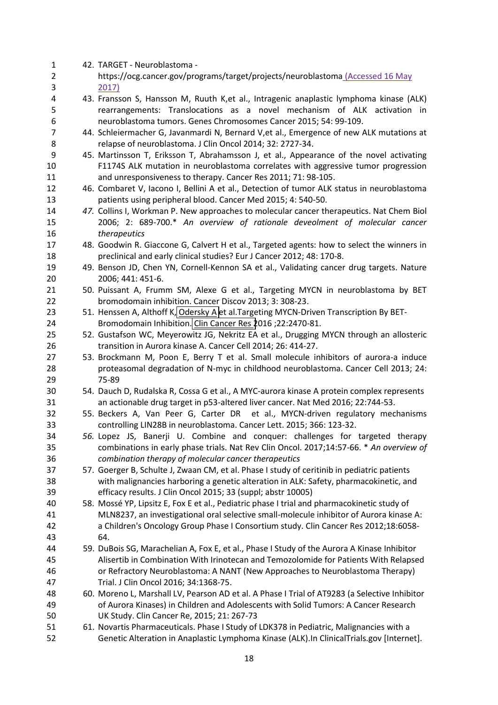| $\mathbf{1}$   | 42. TARGET - Neuroblastoma -                                                                                                                        |
|----------------|-----------------------------------------------------------------------------------------------------------------------------------------------------|
| $\overline{2}$ | https://ocg.cancer.gov/programs/target/projects/neuroblastoma (Accessed 16 May                                                                      |
| 3              | 2017)                                                                                                                                               |
| 4              | 43. Fransson S, Hansson M, Ruuth K,et al., Intragenic anaplastic lymphoma kinase (ALK)                                                              |
| 5              | rearrangements: Translocations as a novel mechanism of ALK activation in                                                                            |
| 6              | neuroblastoma tumors. Genes Chromosomes Cancer 2015; 54: 99-109.                                                                                    |
| $\overline{7}$ | 44. Schleiermacher G, Javanmardi N, Bernard V, et al., Emergence of new ALK mutations at                                                            |
| 8              | relapse of neuroblastoma. J Clin Oncol 2014; 32: 2727-34.                                                                                           |
| 9              | 45. Martinsson T, Eriksson T, Abrahamsson J, et al., Appearance of the novel activating                                                             |
| 10             | F1174S ALK mutation in neuroblastoma correlates with aggressive tumor progression                                                                   |
| 11             | and unresponsiveness to therapy. Cancer Res 2011; 71: 98-105.                                                                                       |
| 12             | 46. Combaret V, Iacono I, Bellini A et al., Detection of tumor ALK status in neuroblastoma                                                          |
| 13             | patients using peripheral blood. Cancer Med 2015; 4: 540-50.                                                                                        |
| 14             | 47. Collins I, Workman P. New approaches to molecular cancer therapeutics. Nat Chem Biol                                                            |
| 15             | 2006; 2: 689-700.* An overview of rationale deveolment of molecular cancer                                                                          |
| 16             | therapeutics                                                                                                                                        |
| 17             | 48. Goodwin R. Giaccone G, Calvert H et al., Targeted agents: how to select the winners in                                                          |
| 18             | preclinical and early clinical studies? Eur J Cancer 2012; 48: 170-8.                                                                               |
| 19             | 49. Benson JD, Chen YN, Cornell-Kennon SA et al., Validating cancer drug targets. Nature                                                            |
| 20             | 2006; 441: 451-6.                                                                                                                                   |
| 21             | 50. Puissant A, Frumm SM, Alexe G et al., Targeting MYCN in neuroblastoma by BET                                                                    |
| 22             | bromodomain inhibition. Cancer Discov 2013; 3: 308-23.                                                                                              |
| 23             | 51. Henssen A, Althoff K, Odersky A et al. Targeting MYCN-Driven Transcription By BET-                                                              |
| 24             | Bromodomain Inhibition. Clin Cancer Res 2016; 22:2470-81.                                                                                           |
| 25             | 52. Gustafson WC, Meyerowitz JG, Nekritz EA et al., Drugging MYCN through an allosteric                                                             |
| 26             | transition in Aurora kinase A. Cancer Cell 2014; 26: 414-27.                                                                                        |
| 27             | 53. Brockmann M, Poon E, Berry T et al. Small molecule inhibitors of aurora-a induce                                                                |
| 28             | proteasomal degradation of N-myc in childhood neuroblastoma. Cancer Cell 2013; 24:                                                                  |
| 29             | 75-89                                                                                                                                               |
| 30             | 54. Dauch D, Rudalska R, Cossa G et al., A MYC-aurora kinase A protein complex represents                                                           |
| 31             | an actionable drug target in p53-altered liver cancer. Nat Med 2016; 22:744-53.                                                                     |
| 32             | 55. Beckers A, Van Peer G, Carter DR et al., MYCN-driven regulatory mechanisms                                                                      |
| 33             | controlling LIN28B in neuroblastoma. Cancer Lett. 2015; 366: 123-32.                                                                                |
| 34             | 56. Lopez JS, Banerji U. Combine and conquer: challenges for targeted therapy                                                                       |
|                | combinations in early phase trials. Nat Rev Clin Oncol. 2017;14:57-66. * An overview of                                                             |
| 35             |                                                                                                                                                     |
| 36<br>37       | combination therapy of molecular cancer therapeutics<br>57. Goerger B, Schulte J, Zwaan CM, et al. Phase I study of ceritinib in pediatric patients |
|                |                                                                                                                                                     |
| 38             | with malignancies harboring a genetic alteration in ALK: Safety, pharmacokinetic, and                                                               |
| 39             | efficacy results. J Clin Oncol 2015; 33 (suppl; abstr 10005)                                                                                        |
| 40             | 58. Mossé YP, Lipsitz E, Fox E et al., Pediatric phase I trial and pharmacokinetic study of                                                         |
| 41             | MLN8237, an investigational oral selective small-molecule inhibitor of Aurora kinase A:                                                             |
| 42             | a Children's Oncology Group Phase I Consortium study. Clin Cancer Res 2012;18:6058-                                                                 |
| 43             | 64.                                                                                                                                                 |
| 44             | 59. DuBois SG, Marachelian A, Fox E, et al., Phase I Study of the Aurora A Kinase Inhibitor                                                         |
| 45             | Alisertib in Combination With Irinotecan and Temozolomide for Patients With Relapsed                                                                |
| 46             | or Refractory Neuroblastoma: A NANT (New Approaches to Neuroblastoma Therapy)                                                                       |
| 47             | Trial. J Clin Oncol 2016; 34:1368-75.                                                                                                               |
| 48             | 60. Moreno L, Marshall LV, Pearson AD et al. A Phase I Trial of AT9283 (a Selective Inhibitor                                                       |
| 49             | of Aurora Kinases) in Children and Adolescents with Solid Tumors: A Cancer Research                                                                 |
| 50             | UK Study. Clin Cancer Re, 2015; 21: 267-73                                                                                                          |
| 51             | 61. Novartis Pharmaceuticals. Phase I Study of LDK378 in Pediatric, Malignancies with a                                                             |
| 52             | Genetic Alteration in Anaplastic Lymphoma Kinase (ALK). In ClinicalTrials.gov [Internet].                                                           |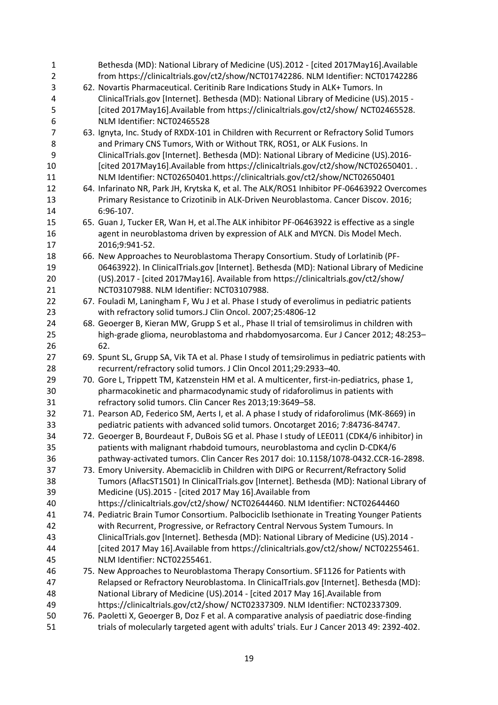| 1              | Bethesda (MD): National Library of Medicine (US).2012 - [cited 2017May16].Available            |
|----------------|------------------------------------------------------------------------------------------------|
| $\overline{2}$ | from https://clinicaltrials.gov/ct2/show/NCT01742286. NLM Identifier: NCT01742286              |
| 3              | 62. Novartis Pharmaceutical. Ceritinib Rare Indications Study in ALK+ Tumors. In               |
| 4              | ClinicalTrials.gov [Internet]. Bethesda (MD): National Library of Medicine (US).2015 -         |
| 5              | [cited 2017May16]. Available from https://clinicaltrials.gov/ct2/show/ NCT02465528.            |
| 6              | NLM Identifier: NCT02465528                                                                    |
| 7              | 63. Ignyta, Inc. Study of RXDX-101 in Children with Recurrent or Refractory Solid Tumors       |
| 8              | and Primary CNS Tumors, With or Without TRK, ROS1, or ALK Fusions. In                          |
| 9              | ClinicalTrials.gov [Internet]. Bethesda (MD): National Library of Medicine (US).2016-          |
| 10             | [cited 2017May16].Available from https://clinicaltrials.gov/ct2/show/NCT02650401               |
| 11             | NLM Identifier: NCT02650401.https://clinicaltrials.gov/ct2/show/NCT02650401                    |
| 12             | 64. Infarinato NR, Park JH, Krytska K, et al. The ALK/ROS1 Inhibitor PF-06463922 Overcomes     |
| 13             | Primary Resistance to Crizotinib in ALK-Driven Neuroblastoma. Cancer Discov. 2016;             |
| 14             | 6:96-107.                                                                                      |
| 15             | 65. Guan J, Tucker ER, Wan H, et al. The ALK inhibitor PF-06463922 is effective as a single    |
|                |                                                                                                |
| 16             | agent in neuroblastoma driven by expression of ALK and MYCN. Dis Model Mech.                   |
| 17             | 2016;9:941-52.                                                                                 |
| 18             | 66. New Approaches to Neuroblastoma Therapy Consortium. Study of Lorlatinib (PF-               |
| 19             | 06463922). In ClinicalTrials.gov [Internet]. Bethesda (MD): National Library of Medicine       |
| 20             | (US).2017 - [cited 2017May16]. Available from https://clinicaltrials.gov/ct2/show/             |
| 21             | NCT03107988. NLM Identifier: NCT03107988.                                                      |
| 22             | 67. Fouladi M, Laningham F, Wu J et al. Phase I study of everolimus in pediatric patients      |
| 23             | with refractory solid tumors.J Clin Oncol. 2007;25:4806-12                                     |
| 24             | 68. Geoerger B, Kieran MW, Grupp S et al., Phase II trial of temsirolimus in children with     |
| 25             | high-grade glioma, neuroblastoma and rhabdomyosarcoma. Eur J Cancer 2012; 48:253-              |
| 26             | 62.                                                                                            |
| 27             | 69. Spunt SL, Grupp SA, Vik TA et al. Phase I study of temsirolimus in pediatric patients with |
| 28             | recurrent/refractory solid tumors. J Clin Oncol 2011;29:2933-40.                               |
| 29             | 70. Gore L, Trippett TM, Katzenstein HM et al. A multicenter, first-in-pediatrics, phase 1,    |
| 30             | pharmacokinetic and pharmacodynamic study of ridaforolimus in patients with                    |
| 31             | refractory solid tumors. Clin Cancer Res 2013;19:3649-58.                                      |
| 32             | 71. Pearson AD, Federico SM, Aerts I, et al. A phase I study of ridaforolimus (MK-8669) in     |
| 33             | pediatric patients with advanced solid tumors. Oncotarget 2016; 7:84736-84747.                 |
| 34             | 72. Geoerger B, Bourdeaut F, DuBois SG et al. Phase I study of LEE011 (CDK4/6 inhibitor) in    |
| 35             | patients with malignant rhabdoid tumours, neuroblastoma and cyclin D-CDK4/6                    |
| 36             | pathway-activated tumors. Clin Cancer Res 2017 doi: 10.1158/1078-0432.CCR-16-2898.             |
| 37             | 73. Emory University. Abemaciclib in Children with DIPG or Recurrent/Refractory Solid          |
| 38             | Tumors (AflacST1501) In ClinicalTrials.gov [Internet]. Bethesda (MD): National Library of      |
| 39             | Medicine (US).2015 - [cited 2017 May 16]. Available from                                       |
| 40             | https://clinicaltrials.gov/ct2/show/ NCT02644460. NLM Identifier: NCT02644460                  |
| 41             | 74. Pediatric Brain Tumor Consortium. Palbociclib Isethionate in Treating Younger Patients     |
| 42             | with Recurrent, Progressive, or Refractory Central Nervous System Tumours. In                  |
| 43             | ClinicalTrials.gov [Internet]. Bethesda (MD): National Library of Medicine (US).2014 -         |
| 44             | [cited 2017 May 16]. Available from https://clinicaltrials.gov/ct2/show/ NCT02255461.          |
| 45             | NLM Identifier: NCT02255461.                                                                   |
| 46             | 75. New Approaches to Neuroblastoma Therapy Consortium. SF1126 for Patients with               |
| 47             | Relapsed or Refractory Neuroblastoma. In ClinicalTrials.gov [Internet]. Bethesda (MD):         |
| 48             | National Library of Medicine (US).2014 - [cited 2017 May 16]. Available from                   |
| 49             | https://clinicaltrials.gov/ct2/show/ NCT02337309. NLM Identifier: NCT02337309.                 |
| 50             | 76. Paoletti X, Geoerger B, Doz F et al. A comparative analysis of paediatric dose-finding     |
| 51             | trials of molecularly targeted agent with adults' trials. Eur J Cancer 2013 49: 2392-402.      |
|                |                                                                                                |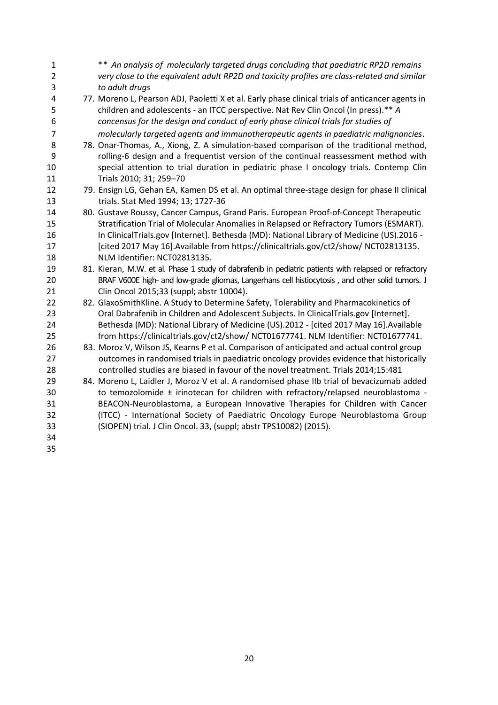| $\mathbf{1}$   | ** An analysis of molecularly targeted drugs concluding that paediatric RP2D remains                                                                                                   |
|----------------|----------------------------------------------------------------------------------------------------------------------------------------------------------------------------------------|
| $\overline{2}$ | very close to the equivalent adult RP2D and toxicity profiles are class-related and similar                                                                                            |
| 3              | to adult drugs                                                                                                                                                                         |
| 4<br>5         | 77. Moreno L, Pearson ADJ, Paoletti X et al. Early phase clinical trials of anticancer agents in<br>children and adolescents - an ITCC perspective. Nat Rev Clin Oncol (In press).** A |
| 6              | concensus for the design and conduct of early phase clinical trials for studies of                                                                                                     |
| $\overline{7}$ | molecularly targeted agents and immunotherapeutic agents in paediatric malignancies.                                                                                                   |
| 8<br>9         | 78. Onar-Thomas, A., Xiong, Z. A simulation-based comparison of the traditional method,<br>rolling-6 design and a frequentist version of the continual reassessment method with        |
| 10             | special attention to trial duration in pediatric phase I oncology trials. Contemp Clin                                                                                                 |
| 11             | Trials 2010; 31; 259-70                                                                                                                                                                |
| 12             | 79. Ensign LG, Gehan EA, Kamen DS et al. An optimal three-stage design for phase II clinical                                                                                           |
| 13             | trials. Stat Med 1994; 13; 1727-36                                                                                                                                                     |
| 14             | 80. Gustave Roussy, Cancer Campus, Grand Paris. European Proof-of-Concept Therapeutic                                                                                                  |
| 15             | Stratification Trial of Molecular Anomalies in Relapsed or Refractory Tumors (ESMART).                                                                                                 |
| 16             | In ClinicalTrials.gov [Internet]. Bethesda (MD): National Library of Medicine (US).2016 -                                                                                              |
| 17             | [cited 2017 May 16]. Available from https://clinicaltrials.gov/ct2/show/ NCT02813135.                                                                                                  |
| 18             | NLM Identifier: NCT02813135.                                                                                                                                                           |
| 19             | 81. Kieran, M.W. et al. Phase 1 study of dabrafenib in pediatric patients with relapsed or refractory                                                                                  |
| 20             | BRAF V600E high- and low-grade gliomas, Langerhans cell histiocytosis, and other solid tumors. J                                                                                       |
| 21             | Clin Oncol 2015;33 (suppl; abstr 10004).                                                                                                                                               |
| 22             | 82. GlaxoSmithKline. A Study to Determine Safety, Tolerability and Pharmacokinetics of                                                                                                 |
| 23             | Oral Dabrafenib in Children and Adolescent Subjects. In ClinicalTrials.gov [Internet].                                                                                                 |
| 24             | Bethesda (MD): National Library of Medicine (US).2012 - [cited 2017 May 16].Available                                                                                                  |
| 25             | from https://clinicaltrials.gov/ct2/show/ NCT01677741. NLM Identifier: NCT01677741.                                                                                                    |
| 26             | 83. Moroz V, Wilson JS, Kearns P et al. Comparison of anticipated and actual control group                                                                                             |
| 27             | outcomes in randomised trials in paediatric oncology provides evidence that historically                                                                                               |
| 28             | controlled studies are biased in favour of the novel treatment. Trials 2014;15:481                                                                                                     |
| 29             | 84. Moreno L, Laidler J, Moroz V et al. A randomised phase IIb trial of bevacizumab added                                                                                              |
| 30             | to temozolomide ± irinotecan for children with refractory/relapsed neuroblastoma -                                                                                                     |
| 31             | BEACON-Neuroblastoma, a European Innovative Therapies for Children with Cancer                                                                                                         |
| 32             | (ITCC) - International Society of Paediatric Oncology Europe Neuroblastoma Group                                                                                                       |
| 33             | (SIOPEN) trial. J Clin Oncol. 33, (suppl; abstr TPS10082) (2015).                                                                                                                      |
| 34             |                                                                                                                                                                                        |
| 35             |                                                                                                                                                                                        |